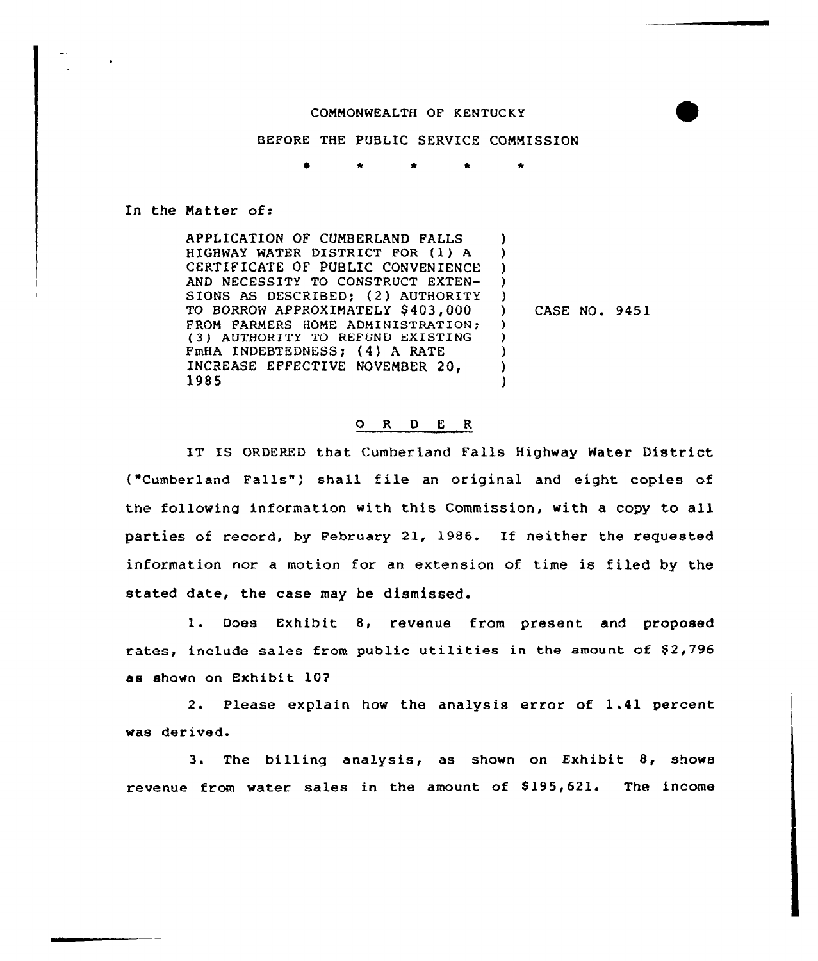#### COMMONWEALTH OF KENTUCKY

#### BEFORE THE PUBLIC SERVICE COMMISSION

\* \* \* \*

#### In the Natter of:

APPLICATION OF CUMBERLAND FALLS HIGHWAY WATER DISTRICT FOR (1) <sup>A</sup> CERTIFICATE OF PUBLIC CONVENIENCE AND NECESSITY TO CONSTRUCT EXTEN-SIONS AS DESCRIBED; (2) AUTHORITY TO BORROW APPROXIMATELY \$403,000 FROM FARMERS HOME ADMINISTRATION; (3) AUTHORITY TO REFUND EXISTING FmHA INDEBTEDNESS; (4) <sup>A</sup> RATE INCREASE EFFECTIVE NOVEMBER 20, 1985 ) )  $\lambda$ ) ) ) ) ) ) )

) CASE NO. 9451

#### ORDER

IT IS ORDERED that Cumberland Falls Highway Water District ("Cumberland Falls") shall file an original and eight copies of the following information with this Commission, with a copy to all parties of record, by February 21, 1986. If neither the requested information nor a motion for an extension of time is filed by the stated date, the case may be dismissed.

1. Does Exhibit 8, revenue from present and proposed rates, include sales from public utilities in the amount of \$2,796 as shown on Exhibit 10?

2. Please explain how the analysis error of 1.41 percent was der ived.

3. The billing analysis, as shown on Exhibit 8, shows revenue from water sales in the amount of \$195,621. The income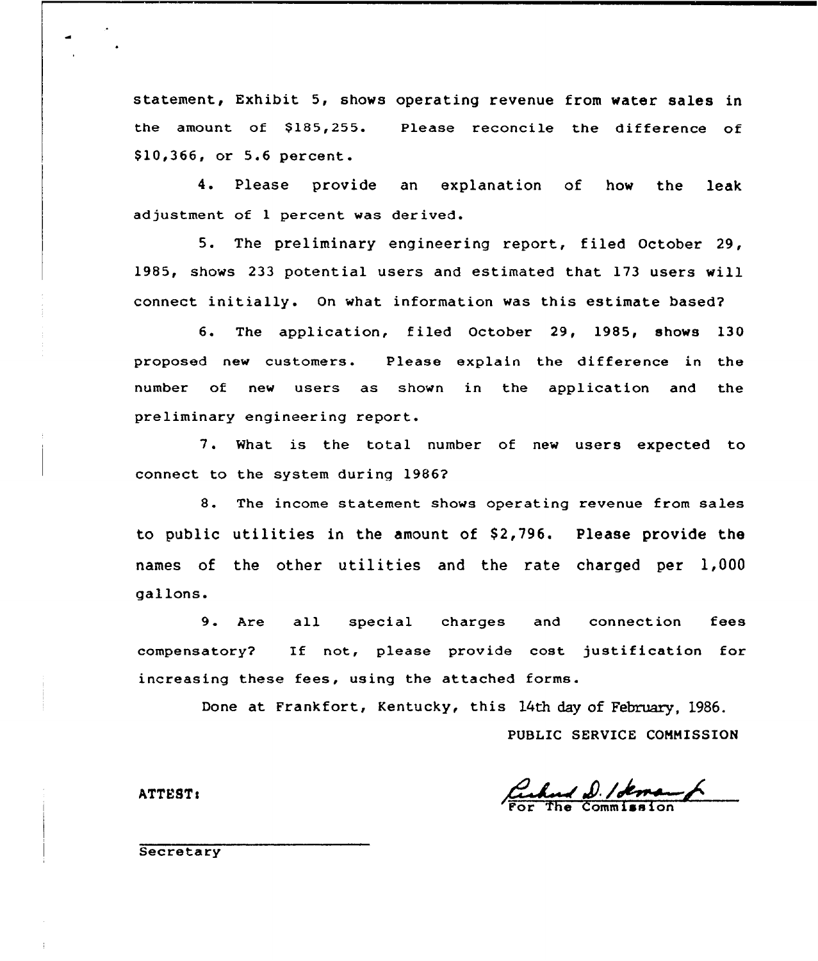statement, Exhibit 5, shows operating revenue from water sales in the amount of  $$185,255$ . \$10,366, or 5.6 percent. Please reconcile the difference of

4. Please provide an explanation of how the leak adjustment of 1 percent was derived.

5. The preliminary engineering report, filed October 29, 1985, shows 233 potential users and estimated that 173 users will connect initially. Qn what information was this estimate based?

6. The application, filed October 29, 1985, shows 130 proposed new customers. Please explain the difference in the number of new users as shown in the application and the preliminary engineering report.

7. What is the total number of new users expected to connect to the system during 1986?

8. The income statement shows operating revenue from sales to public utilities in the amount of  $$2,796$ . Please provide the names of the other utilities and the rate charged per 1,000 gallons.

9. Are all special charges and connection fees compensatory? If not, please provide cost justification for increasing these fees, using the attached forms.

Done at Frankfort, Kentucky, this 14th day of February. 1986.

PUBLIC SERVICE COMMISSION

Cuhad D. Idem

ATTEST<

**Secretary**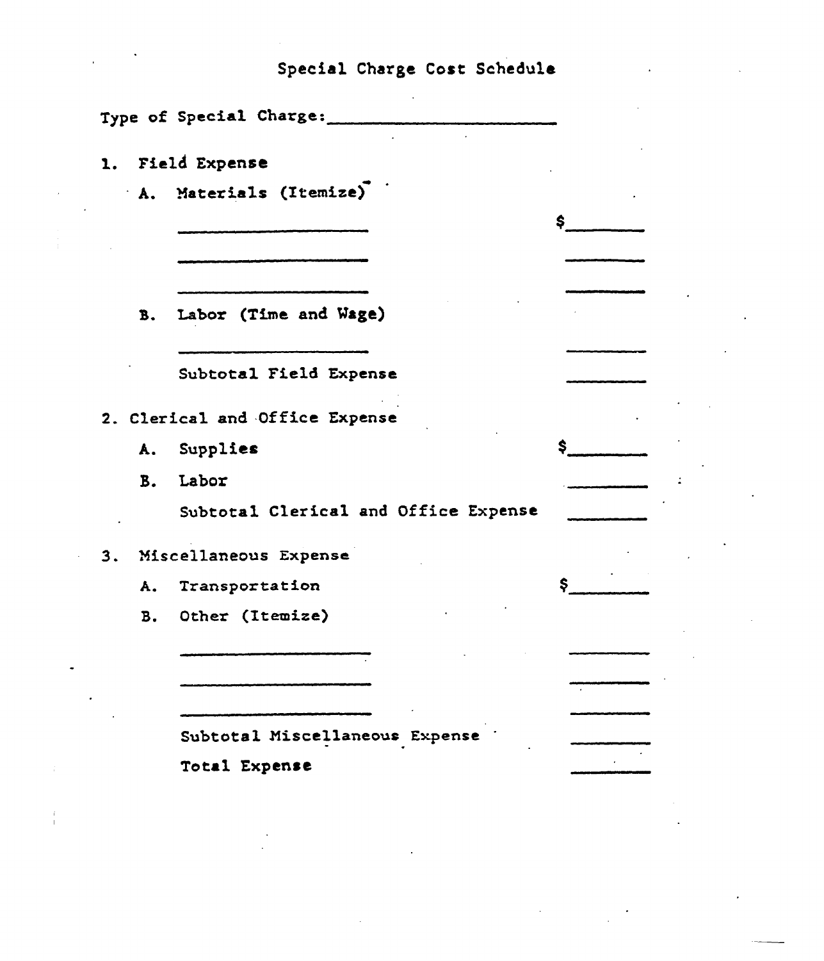# Special Charge Cost Schedule

|    |           | Type of Special Charge:              |     |  |
|----|-----------|--------------------------------------|-----|--|
|    |           | 1. Field Expense                     |     |  |
|    |           | A. Materials (Itemize)               |     |  |
|    |           |                                      | \$. |  |
|    |           |                                      |     |  |
|    | B.        | Labor (Time and Wage)                |     |  |
|    |           | Subtotal Field Expense               |     |  |
|    |           | 2. Clerical and Office Expense       |     |  |
|    |           | A. Supplies                          | \$. |  |
|    | <b>B.</b> | Labor                                |     |  |
|    |           | Subtotal Clerical and Office Expense |     |  |
| 3. |           | Miscellaneous Expense                |     |  |
|    |           | A. Transportation                    | \$  |  |
|    |           | B. Other (Itemize)                   |     |  |
|    |           |                                      |     |  |
|    |           |                                      |     |  |
|    |           | Subtotal Miscellaneous Expense       |     |  |
|    |           | Total Expense                        |     |  |
|    |           |                                      |     |  |

j.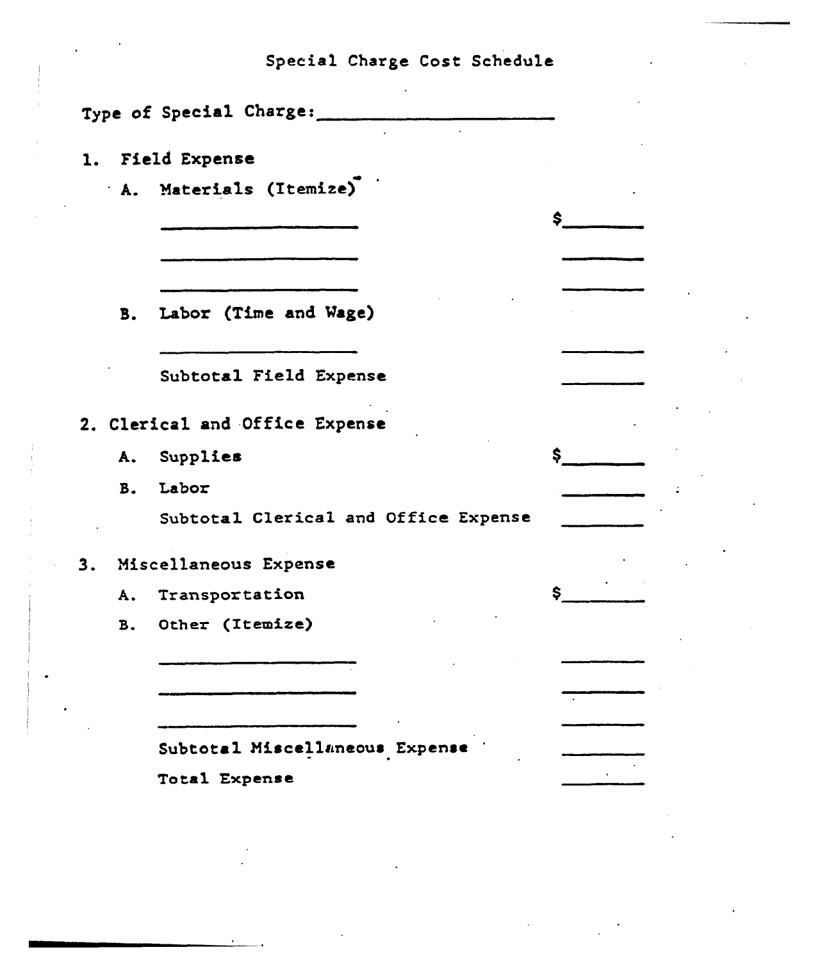|           | Type of Special Charge:              |    |
|-----------|--------------------------------------|----|
|           |                                      |    |
|           | 1. Field Expense                     |    |
|           | A. Materials (Itemize)               |    |
|           |                                      | \$ |
|           |                                      |    |
|           |                                      |    |
|           | B. Labor (Time and Wage)             |    |
|           |                                      |    |
|           | Subtotal Field Expense               |    |
|           |                                      |    |
|           | 2. Clerical and Office Expense       |    |
|           | A. Supplies                          | \$ |
|           | B. Labor                             |    |
|           | Subtotal Clerical and Office Expense |    |
|           | 3. Miscellaneous Expense             |    |
| Α.        | Transportation                       | \$ |
| <b>B.</b> | Other (Itemize)                      |    |
|           |                                      |    |

Subtotal Miscellaneous Expense

 $\bar{z}$ 

 $\mathbf{v}^{\dagger}$ 

Total Expense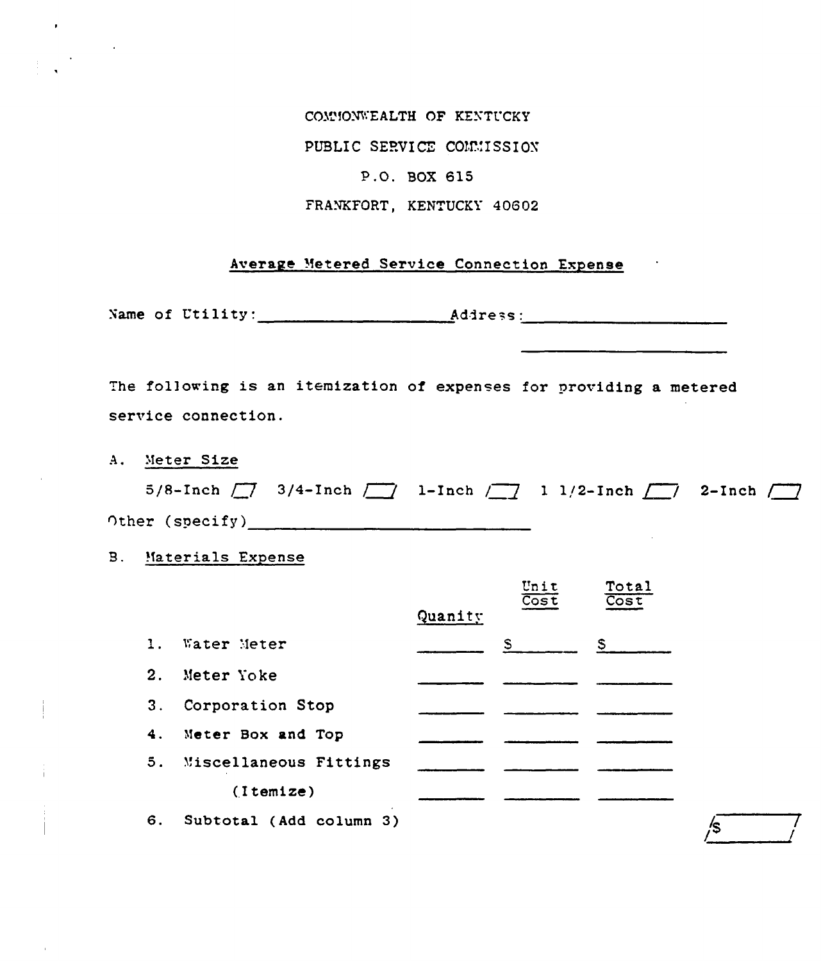COMMONWEALTH OF KENTUCKY PUBLIC SERVICE COMMISSION P.O. BOX 615 FRANKFORT, KENTUCKY 40602

### Average Metered Service Connection Expense

The following is an itemization of expenses for providing a metered service connection.

A. Meter Size

 $\mathcal{L}^{\text{max}}_{\text{max}}$ 

 $\sim$   $\sim$ 

|                 |  | 5/8-Inch $\boxed{7}$ 3/4-Inch $\boxed{7}$ 1-Inch $\boxed{7}$ 1 1/2-Inch $\boxed{7}$ 2-Inch $\boxed{7}$ |  |
|-----------------|--|--------------------------------------------------------------------------------------------------------|--|
| Other (specify) |  |                                                                                                        |  |

**B.** Materials Expense

|                |                           |         | Unit<br>$\overline{\text{Cost}}$ | Total<br>$\overline{\cos t}$ |
|----------------|---------------------------|---------|----------------------------------|------------------------------|
|                |                           | Quanity |                                  |                              |
| $\mathbf{1}$ . | Water Meter               |         | $S_{\perp}$                      | S.                           |
| 2.             | Meter Yoke                |         |                                  |                              |
| 3.             | Corporation Stop          |         |                                  |                              |
|                | 4. Meter Box and Top      |         |                                  |                              |
|                | 5. Miscellaneous Fittings |         |                                  |                              |
|                | (Itemize)                 |         |                                  |                              |
| 6.             | Subtotal (Add column 3)   |         |                                  |                              |

 $\frac{1}{\sqrt{5}}$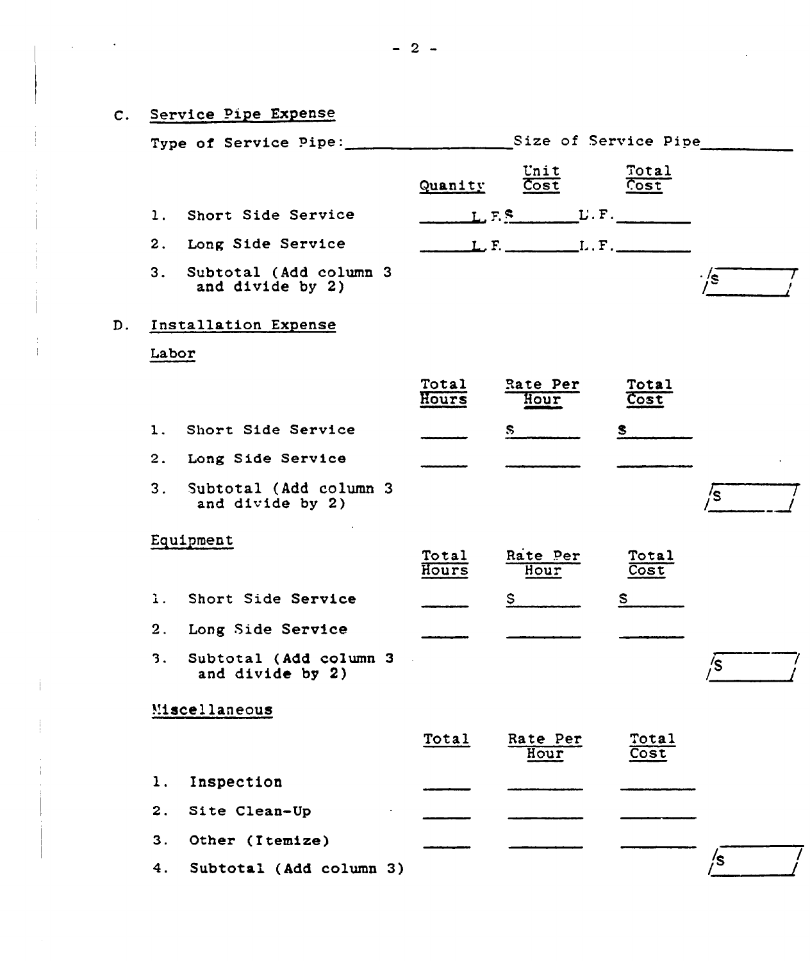| $\mathsf{C}$ . | Service Pipe Expense                           |                         |                |                                 |               |      |
|----------------|------------------------------------------------|-------------------------|----------------|---------------------------------|---------------|------|
|                |                                                |                         |                |                                 |               |      |
|                |                                                |                         | Quanity        | Unit<br>Cost                    | Total<br>Cost |      |
|                | 1. Short Side Service                          |                         |                | $L, F$ . $L, F$ . $L, F$ .      |               |      |
|                | 2. Long Side Service                           |                         |                | $L, F,$ $L, F,$ $L, F,$ $L, F,$ |               |      |
|                | 3.<br>and divide by 2)                         | Subtotal (Add column 3  |                |                                 |               | . /s |
| D.             | Installation Expense                           |                         |                |                                 |               |      |
|                | Labor                                          |                         |                |                                 |               |      |
|                |                                                |                         | Total<br>Hours | Rate Per<br>Hour                | Total<br>Cost |      |
|                | 1. Short Side Service                          |                         |                | $\mathbf{s}$                    |               |      |
|                | 2. Long Side Service                           |                         |                |                                 |               |      |
|                | 3. Subtotal (Add column 3)<br>and divide by 2) |                         |                |                                 |               | /s   |
|                | Equipment                                      |                         | Total<br>Hours | Rate Per<br>Hour                | Total<br>Cost |      |
|                | 1. Short Side Service                          |                         |                | S.                              | $\mathbf{s}$  |      |
|                | 2. Long Side Service                           |                         |                |                                 |               |      |
|                | 3.<br>and divide by 2)                         | Subtotal (Add column 3  |                |                                 |               | /s   |
|                | Miscellaneous                                  |                         |                |                                 |               |      |
|                |                                                |                         | Total          | Rate Per<br>Hour                | Total<br>Cost |      |
|                | Inspection<br>1.                               |                         |                |                                 |               |      |
|                | 2.<br>Site Clean-Up                            |                         |                |                                 |               |      |
|                | 3.<br>Other (Itemize)                          |                         |                |                                 |               |      |
|                | 4.                                             | Subtotal (Add column 3) |                |                                 |               | /s   |

 $\mathcal{A}_\mathrm{c}$ 

 $\mathcal{L}(\mathcal{L}(\mathcal{L}(\mathcal{L}(\mathcal{L}(\mathcal{L}(\mathcal{L}(\mathcal{L}(\mathcal{L}(\mathcal{L}(\mathcal{L}(\mathcal{L}(\mathcal{L}(\mathcal{L}(\mathcal{L}(\mathcal{L}(\mathcal{L}(\mathcal{L}(\mathcal{L}(\mathcal{L}(\mathcal{L}(\mathcal{L}(\mathcal{L}(\mathcal{L}(\mathcal{L}(\mathcal{L}(\mathcal{L}(\mathcal{L}(\mathcal{L}(\mathcal{L}(\mathcal{L}(\mathcal{L}(\mathcal{L}(\mathcal{L}(\mathcal{L}(\mathcal{L}(\mathcal{$ 

 $\frac{1}{4}$  .

 $\mathbf{I}$ 

 $\frac{1}{4}$  .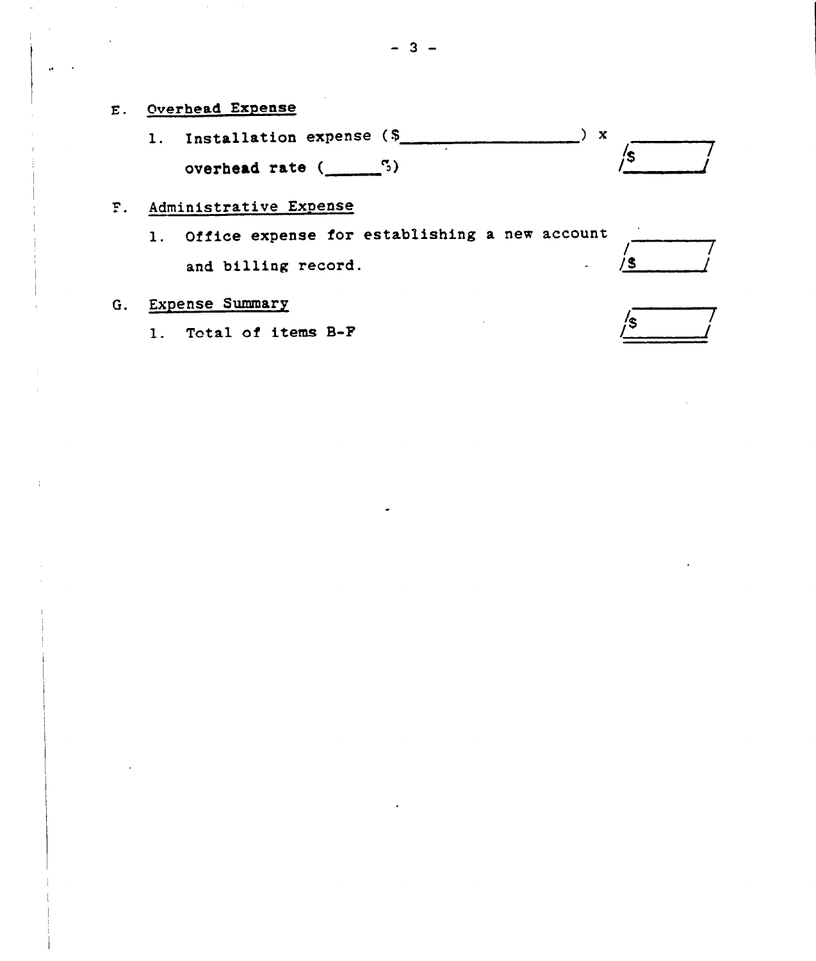l. Installation expense (5 overhead rate  $($ <sup>5)</sup>  $\overline{\phantom{a}}$  x / /g

# F. Administrative Expense

l. Office expense for establishing <sup>a</sup> new account and billing record.

# G. Expense Summary

1. Total of items B-F /8

/ /~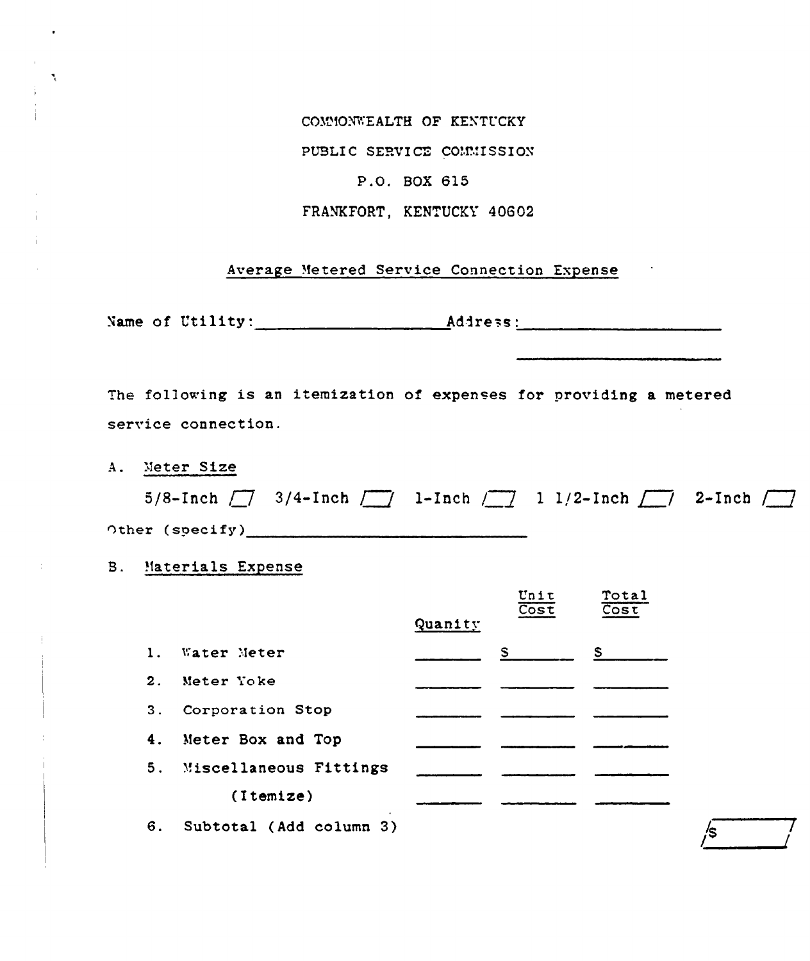COMMONWEALTH OF KENTUCKY

PUBLIC SERVICE COMMISSION

## P.O. BOX 615

FRANKFORT, KENTUCKY 40602

# Average Metered Service Connection Expense

The following is an itemization of expenses for providing a metered service connection.

A. Meter Size

۹,

|                        | 5/8-Inch $\boxed{7}$ 3/4-Inch $\boxed{7}$ 1-Inch $\boxed{7}$ 1 1/2-Inch $\boxed{7}$ 2-Inch $\boxed{7}$ |  |  |
|------------------------|--------------------------------------------------------------------------------------------------------|--|--|
| <b>Other (specify)</b> |                                                                                                        |  |  |

## **B.** Materials Expense

|    |                           |         | Unit<br>$\overline{\text{Cost}}$ | Total<br>$\overline{\cos t}$ |
|----|---------------------------|---------|----------------------------------|------------------------------|
|    |                           | Quanity |                                  |                              |
| 1. | Water Meter               |         | S.                               | S.                           |
| 2. | Meter Yoke                |         |                                  |                              |
| 3. | Corporation Stop          |         |                                  |                              |
| 4. | Meter Box and Top         |         |                                  |                              |
|    | 5. Miscellaneous Fittings |         |                                  |                              |
|    | (Itemize)                 |         |                                  |                              |
| 6. | Subtotal (Add column 3)   |         |                                  |                              |

 $\sqrt{s}$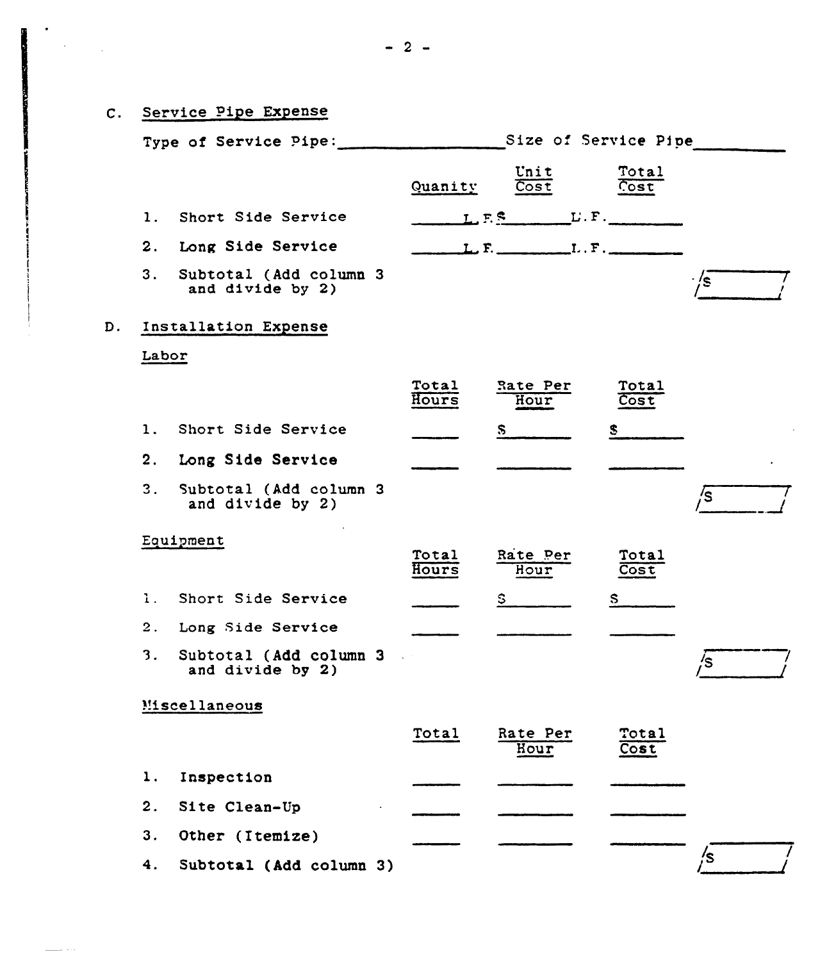|                  | C. Service Pipe Expense<br>Type of Service Pipe: |                | Size of Service Pipe                                            |               |       |
|------------------|--------------------------------------------------|----------------|-----------------------------------------------------------------|---------------|-------|
|                  |                                                  |                |                                                                 |               |       |
|                  |                                                  | Quanity        | Unit<br>$\overline{\text{Cost}}$                                | Total<br>Cost |       |
| $\mathbf{1}$ .   | Short Side Service                               |                | $L, F.$ S $L', F$ .                                             |               |       |
|                  | 2. Long Side Service                             |                | $L, F, \underline{\hspace{2cm}} L, F, \underline{\hspace{2cm}}$ |               |       |
| 3.               | Subtotal (Add column 3<br>and divide by 2)       |                |                                                                 |               | · /s∴ |
|                  | Installation Expense                             |                |                                                                 |               |       |
| Labor            |                                                  |                |                                                                 |               |       |
|                  |                                                  | Total<br>Hours | Rate Per<br>Hour                                                | Total<br>Cost |       |
| $\mathbf{1}$ .   | Short Side Service                               |                | $\mathbf{s}$                                                    | S.            |       |
| 2.               | Long Side Service                                |                |                                                                 |               |       |
| $\overline{3}$ . | Subtotal (Add column 3<br>and divide by 2)       |                |                                                                 |               | /s    |
|                  | Equipment                                        |                |                                                                 |               |       |
|                  |                                                  | Total<br>Hours | Rate Per<br>Hour                                                | Total<br>Cost |       |
| $\mathbf{1}$ .   | Short Side Service                               |                | $S_{\perp}$                                                     | $S_{-}$       |       |
| 2.               | Long Side Service                                |                |                                                                 |               |       |
| 3.               | Subtotal (Add column 3<br>and divide by 2)       |                |                                                                 |               | 's    |
|                  | Miscellaneous                                    |                |                                                                 |               |       |
|                  |                                                  | Total          | Rate Per<br>Hour                                                | Total<br>Cost |       |
| 1.               | Inspection                                       |                |                                                                 |               |       |
| 2.               | Site Clean-Up                                    |                |                                                                 |               |       |
| 3.               | Other (Itemize)                                  |                |                                                                 |               |       |
| 4.               | Subtotal (Add column 3)                          |                |                                                                 |               | /s    |

 $\label{eq:2} \frac{1}{2} \sum_{i=1}^n \frac{1}{2} \sum_{j=1}^n \frac{1}{2} \sum_{j=1}^n \frac{1}{2} \sum_{j=1}^n \frac{1}{2} \sum_{j=1}^n \frac{1}{2} \sum_{j=1}^n \frac{1}{2} \sum_{j=1}^n \frac{1}{2} \sum_{j=1}^n \frac{1}{2} \sum_{j=1}^n \frac{1}{2} \sum_{j=1}^n \frac{1}{2} \sum_{j=1}^n \frac{1}{2} \sum_{j=1}^n \frac{1}{2} \sum_{j=1}^n \frac{1}{$